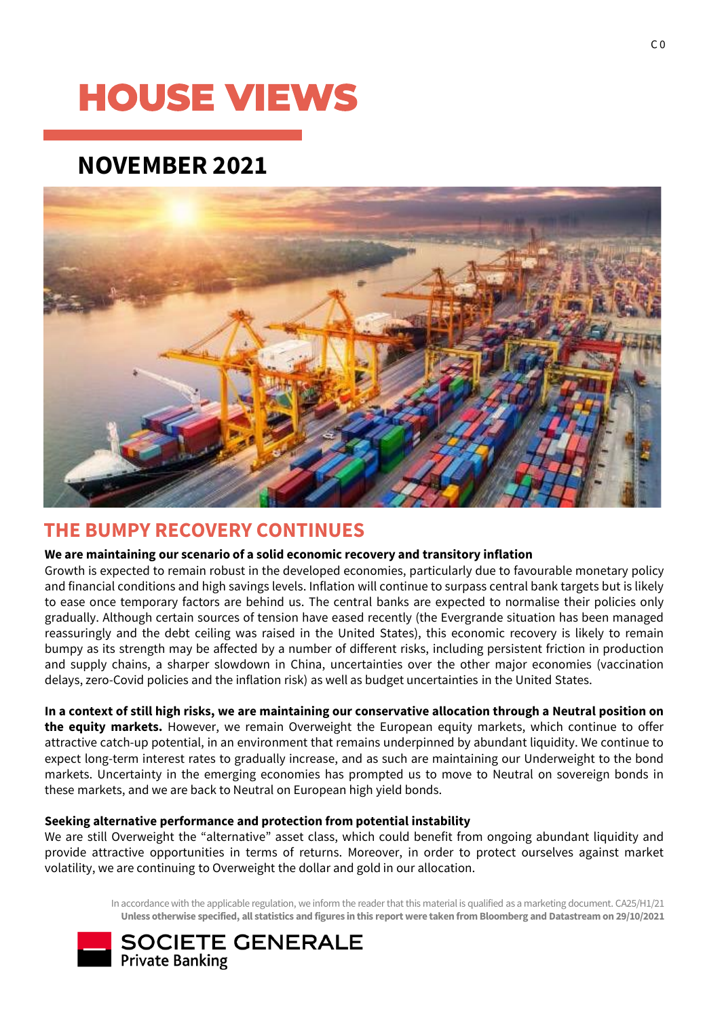# **HOUSE VIEWS**

### **NOVEMBER 2021**



### **THE BUMPY RECOVERY CONTINUES**

### **We are maintaining our scenario of a solid economic recovery and transitory inflation**

Growth is expected to remain robust in the developed economies, particularly due to favourable monetary policy and financial conditions and high savings levels. Inflation will continue to surpass central bank targets but is likely to ease once temporary factors are behind us. The central banks are expected to normalise their policies only gradually. Although certain sources of tension have eased recently (the Evergrande situation has been managed reassuringly and the debt ceiling was raised in the United States), this economic recovery is likely to remain bumpy as its strength may be affected by a number of different risks, including persistent friction in production and supply chains, a sharper slowdown in China, uncertainties over the other major economies (vaccination delays, zero-Covid policies and the inflation risk) as well as budget uncertainties in the United States.

In a context of still high risks, we are maintaining our conservative allocation through a Neutral position on **the equity markets.** However, we remain Overweight the European equity markets, which continue to offer attractive catch-up potential, in an environment that remains underpinned by abundant liquidity. We continue to expect long-term interest rates to gradually increase, and as such are maintaining our Underweight to the bond markets. Uncertainty in the emerging economies has prompted us to move to Neutral on sovereign bonds in these markets, and we are back to Neutral on European high yield bonds.

### **Seeking alternative performance and protection from potential instability**

We are still Overweight the "alternative" asset class, which could benefit from ongoing abundant liquidity and provide attractive opportunities in terms of returns. Moreover, in order to protect ourselves against market volatility, we are continuing to Overweight the dollar and gold in our allocation.

> In accordance with the applicable regulation, we inform the reader that this material is qualified as a marketing document. CA25/H1/21 **Unless otherwise specified, all statistics and figures in this report were taken from Bloomberg and Datastream on 29/10/2021**

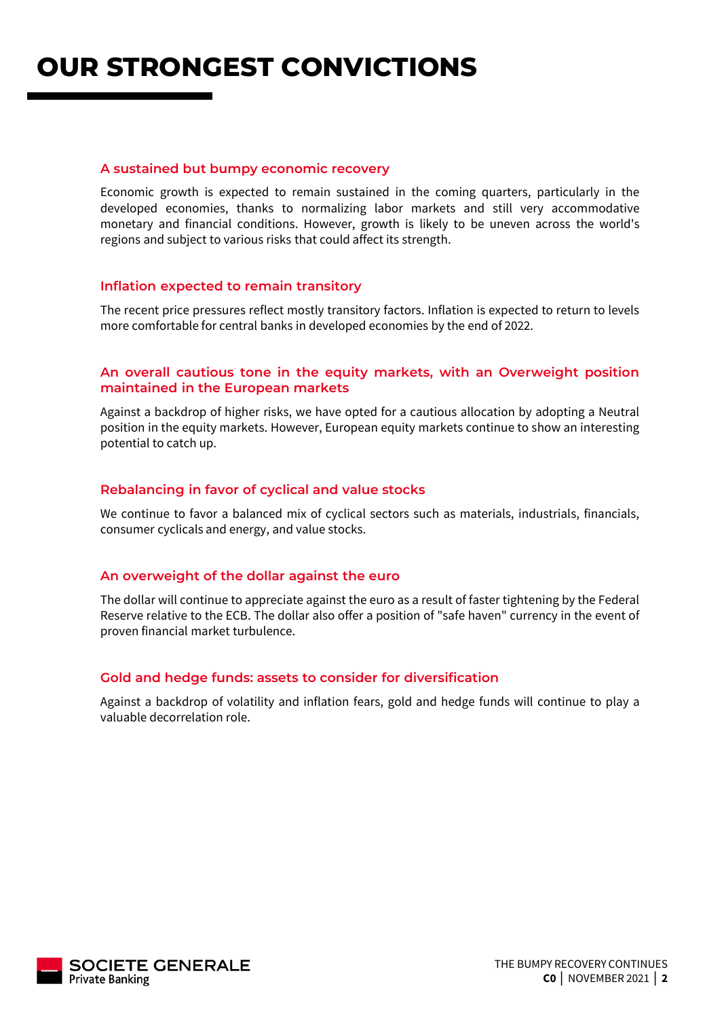**OUR STRONGEST CONVICTIONS**

#### **A sustained but bumpy economic recovery**

Economic growth is expected to remain sustained in the coming quarters, particularly in the developed economies, thanks to normalizing labor markets and still very accommodative monetary and financial conditions. However, growth is likely to be uneven across the world's regions and subject to various risks that could affect its strength.

#### **Inflation expected to remain transitory**

The recent price pressures reflect mostly transitory factors. Inflation is expected to return to levels more comfortable for central banks in developed economies by the end of 2022.

### **An overall cautious tone in the equity markets, with an Overweight position maintained in the European markets**

Against a backdrop of higher risks, we have opted for a cautious allocation by adopting a Neutral position in the equity markets. However, European equity markets continue to show an interesting potential to catch up.

### **Rebalancing in favor of cyclical and value stocks**

We continue to favor a balanced mix of cyclical sectors such as materials, industrials, financials, consumer cyclicals and energy, and value stocks.

#### **An overweight of the dollar against the euro**

The dollar will continue to appreciate against the euro as a result of faster tightening by the Federal Reserve relative to the ECB. The dollar also offer a position of "safe haven" currency in the event of proven financial market turbulence.

### **Gold and hedge funds: assets to consider for diversification**

Against a backdrop of volatility and inflation fears, gold and hedge funds will continue to play a valuable decorrelation role.

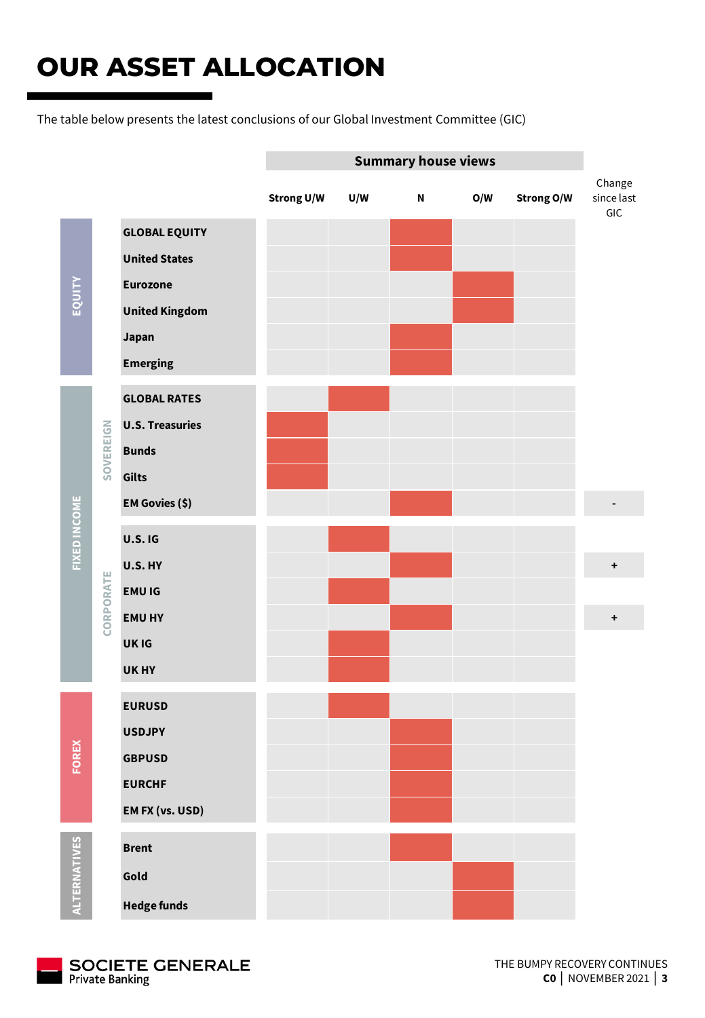## **OUR ASSET ALLOCATION**

The table below presents the latest conclusions of our Global Investment Committee (GIC)

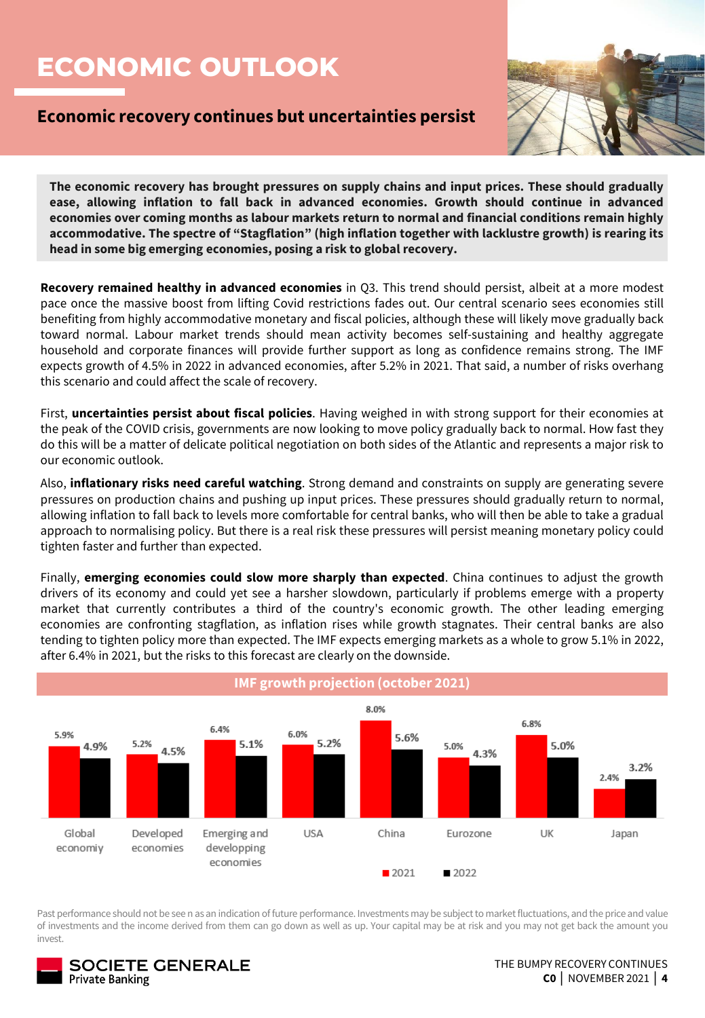## **ECONOMIC OUTLOOK**

### **Economic recovery continues but uncertainties persist**



**The economic recovery has brought pressures on supply chains and input prices. These should gradually ease, allowing inflation to fall back in advanced economies. Growth should continue in advanced economies over coming months as labour markets return to normal and financial conditions remain highly accommodative. The spectre of "Stagflation" (high inflation together with lacklustre growth) is rearing its head in some big emerging economies, posing a risk to global recovery.**

**Recovery remained healthy in advanced economies** in Q3. This trend should persist, albeit at a more modest pace once the massive boost from lifting Covid restrictions fades out. Our central scenario sees economies still benefiting from highly accommodative monetary and fiscal policies, although these will likely move gradually back toward normal. Labour market trends should mean activity becomes self-sustaining and healthy aggregate household and corporate finances will provide further support as long as confidence remains strong. The IMF expects growth of 4.5% in 2022 in advanced economies, after 5.2% in 2021. That said, a number of risks overhang this scenario and could affect the scale of recovery.

First, **uncertainties persist about fiscal policies**. Having weighed in with strong support for their economies at the peak of the COVID crisis, governments are now looking to move policy gradually back to normal. How fast they do this will be a matter of delicate political negotiation on both sides of the Atlantic and represents a major risk to our economic outlook.

Also, **inflationary risks need careful watching**. Strong demand and constraints on supply are generating severe pressures on production chains and pushing up input prices. These pressures should gradually return to normal, allowing inflation to fall back to levels more comfortable for central banks, who will then be able to take a gradual approach to normalising policy. But there is a real risk these pressures will persist meaning monetary policy could tighten faster and further than expected.

Finally, **emerging economies could slow more sharply than expected**. China continues to adjust the growth drivers of its economy and could yet see a harsher slowdown, particularly if problems emerge with a property market that currently contributes a third of the country's economic growth. The other leading emerging economies are confronting stagflation, as inflation rises while growth stagnates. Their central banks are also tending to tighten policy more than expected. The IMF expects emerging markets as a whole to grow 5.1% in 2022, after 6.4% in 2021, but the risks to this forecast are clearly on the downside.



Past performance should not be see n as an indication of future performance. Investments may be subject to market fluctuations, and the price and value of investments and the income derived from them can go down as well as up. Your capital may be at risk and you may not get back the amount you invest.

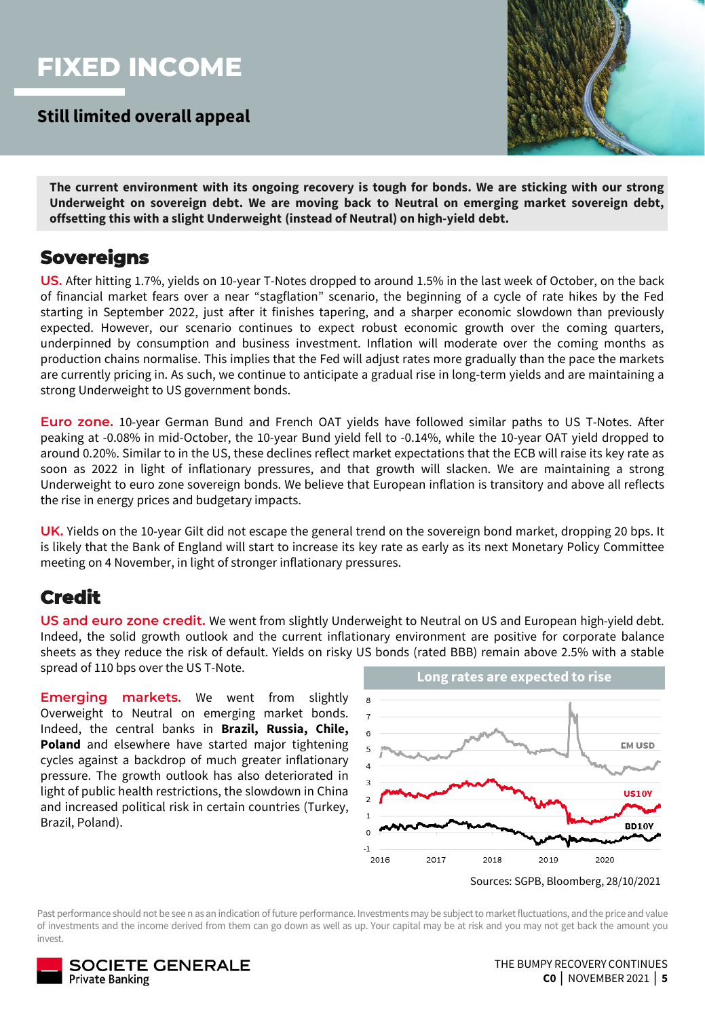### **FIXED INCOME**

**Still limited overall appeal**



**The current environment with its ongoing recovery is tough for bonds. We are sticking with our strong Underweight on sovereign debt. We are moving back to Neutral on emerging market sovereign debt, offsetting this with a slight Underweight (instead of Neutral) on high-yield debt.**

### **Sovereigns**

**US.** After hitting 1.7%, yields on 10-year T-Notes dropped to around 1.5% in the last week of October, on the back of financial market fears over a near "stagflation" scenario, the beginning of a cycle of rate hikes by the Fed starting in September 2022, just after it finishes tapering, and a sharper economic slowdown than previously expected. However, our scenario continues to expect robust economic growth over the coming quarters, underpinned by consumption and business investment. Inflation will moderate over the coming months as production chains normalise. This implies that the Fed will adjust rates more gradually than the pace the markets are currently pricing in. As such, we continue to anticipate a gradual rise in long-term yields and are maintaining a strong Underweight to US government bonds.

**Euro zone.** 10-year German Bund and French OAT yields have followed similar paths to US T-Notes. After peaking at -0.08% in mid-October, the 10-year Bund yield fell to -0.14%, while the 10-year OAT yield dropped to around 0.20%. Similar to in the US, these declines reflect market expectations that the ECB will raise its key rate as soon as 2022 in light of inflationary pressures, and that growth will slacken. We are maintaining a strong Underweight to euro zone sovereign bonds. We believe that European inflation is transitory and above all reflects the rise in energy prices and budgetary impacts.

**UK.** Yields on the 10-year Gilt did not escape the general trend on the sovereign bond market, dropping 20 bps. It is likely that the Bank of England will start to increase its key rate as early as its next Monetary Policy Committee meeting on 4 November, in light of stronger inflationary pressures.

### **Credit**

**US and euro zone credit.** We went from slightly Underweight to Neutral on US and European high-yield debt. Indeed, the solid growth outlook and the current inflationary environment are positive for corporate balance sheets as they reduce the risk of default. Yields on risky US bonds (rated BBB) remain above 2.5% with a stable spread of 110 bps over the US T-Note.

**Emerging markets.** We went from slightly Overweight to Neutral on emerging market bonds. Indeed, the central banks in **Brazil, Russia, Chile, Poland** and elsewhere have started major tightening cycles against a backdrop of much greater inflationary pressure. The growth outlook has also deteriorated in light of public health restrictions, the slowdown in China and increased political risk in certain countries (Turkey, Brazil, Poland).



Sources: SGPB, Bloomberg, 28/10/2021

Past performance should not be see n as an indication of future performance. Investments may be subject to market fluctuations, and the price and value of investments and the income derived from them can go down as well as up. Your capital may be at risk and you may not get back the amount you invest.

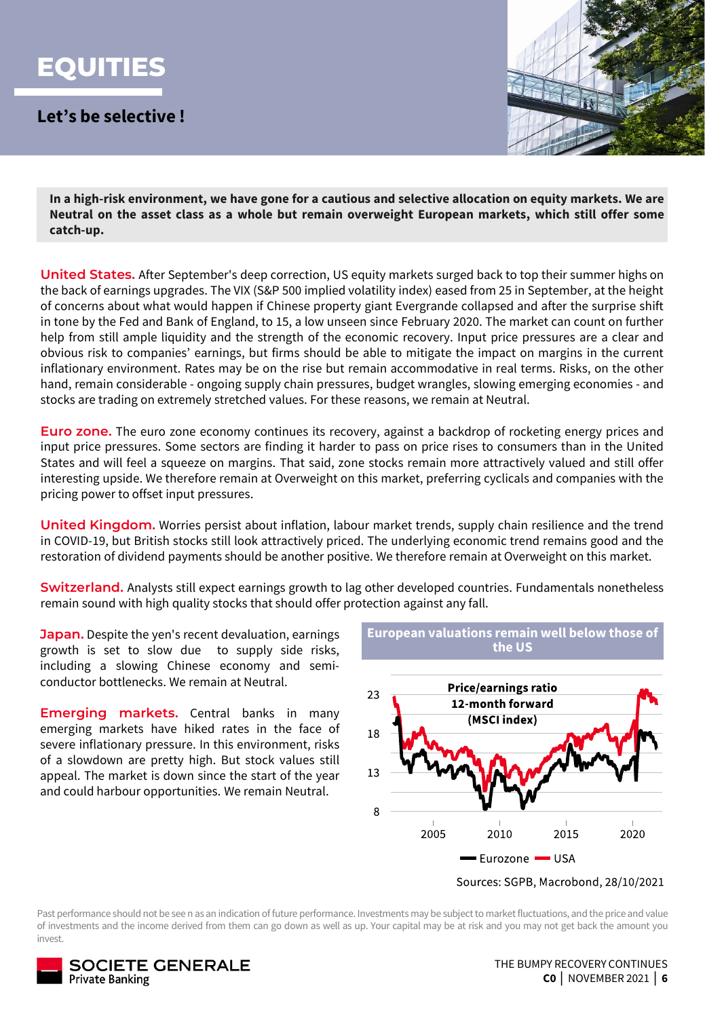

**Let's be selective !**



In a high-risk environment, we have gone for a cautious and selective allocation on equity markets. We are **Neutral on the asset class as a whole but remain overweight European markets, which still offer some catch-up.**

**United States.** After September's deep correction, US equity markets surged back to top their summer highs on the back of earnings upgrades. The VIX (S&P 500 implied volatility index) eased from 25 in September, at the height of concerns about what would happen if Chinese property giant Evergrande collapsed and after the surprise shift in tone by the Fed and Bank of England, to 15, a low unseen since February 2020. The market can count on further help from still ample liquidity and the strength of the economic recovery. Input price pressures are a clear and obvious risk to companies' earnings, but firms should be able to mitigate the impact on margins in the current inflationary environment. Rates may be on the rise but remain accommodative in real terms. Risks, on the other hand, remain considerable - ongoing supply chain pressures, budget wrangles, slowing emerging economies - and stocks are trading on extremely stretched values. For these reasons, we remain at Neutral.

**Euro zone.** The euro zone economy continues its recovery, against a backdrop of rocketing energy prices and input price pressures. Some sectors are finding it harder to pass on price rises to consumers than in the United States and will feel a squeeze on margins. That said, zone stocks remain more attractively valued and still offer interesting upside. We therefore remain at Overweight on this market, preferring cyclicals and companies with the pricing power to offset input pressures.

**United Kingdom.** Worries persist about inflation, labour market trends, supply chain resilience and the trend in COVID-19, but British stocks still look attractively priced. The underlying economic trend remains good and the restoration of dividend payments should be another positive. We therefore remain at Overweight on this market.

**Switzerland.** Analysts still expect earnings growth to lag other developed countries. Fundamentals nonetheless remain sound with high quality stocks that should offer protection against any fall.

**Japan.** Despite the yen's recent devaluation, earnings growth is set to slow due to supply side risks, including a slowing Chinese economy and semiconductor bottlenecks. We remain at Neutral.

**Emerging markets.** Central banks in many emerging markets have hiked rates in the face of severe inflationary pressure. In this environment, risks of a slowdown are pretty high. But stock values still appeal. The market is down since the start of the year and could harbour opportunities. We remain Neutral.

**European valuations remain well below those of the US**



Sources: SGPB, Macrobond, 28/10/2021

Past performance should not be see n as an indication of future performance. Investments may be subject to market fluctuations, and the price and value of investments and the income derived from them can go down as well as up. Your capital may be at risk and you may not get back the amount you invest.

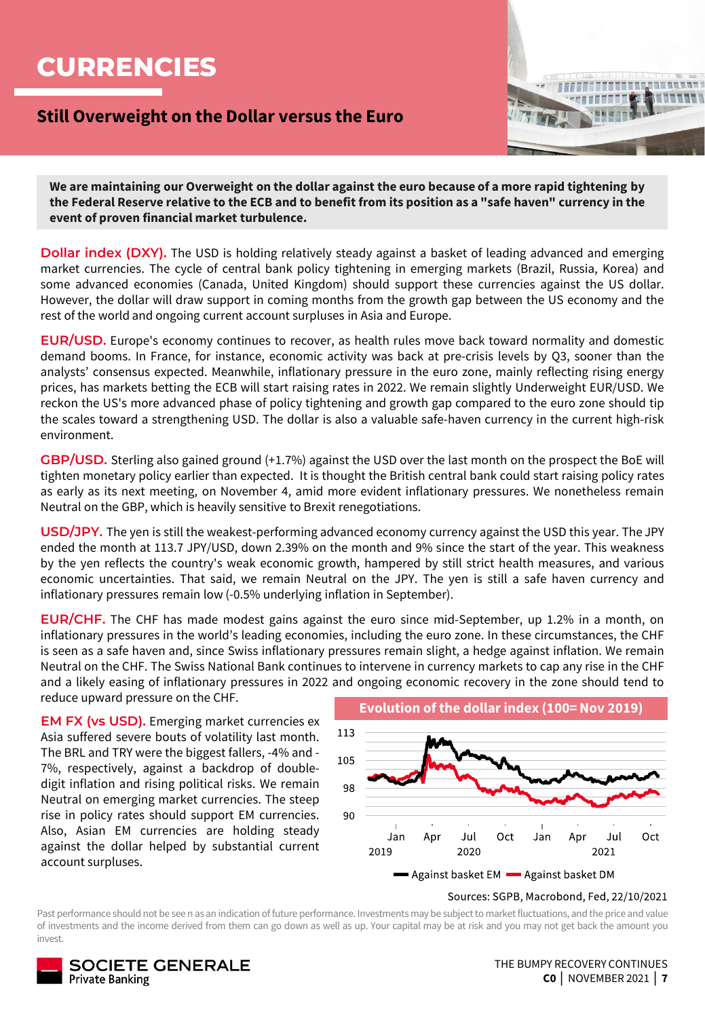### **CURRENCIES**

### **Still Overweight on the Dollar versus the Euro**



**We are maintaining our Overweight on the dollar against the euro because of a more rapid tightening by the Federal Reserve relative to the ECB and to benefit from its position as a "safe haven" currency in the event of proven financial market turbulence.** 

**Dollar index (DXY).** The USD is holding relatively steady against a basket of leading advanced and emerging market currencies. The cycle of central bank policy tightening in emerging markets (Brazil, Russia, Korea) and some advanced economies (Canada, United Kingdom) should support these currencies against the US dollar. However, the dollar will draw support in coming months from the growth gap between the US economy and the rest of the world and ongoing current account surpluses in Asia and Europe.

**EUR/USD.** Europe's economy continues to recover, as health rules move back toward normality and domestic demand booms. In France, for instance, economic activity was back at pre-crisis levels by Q3, sooner than the analysts' consensus expected. Meanwhile, inflationary pressure in the euro zone, mainly reflecting rising energy prices, has markets betting the ECB will start raising rates in 2022. We remain slightly Underweight EUR/USD. We reckon the US's more advanced phase of policy tightening and growth gap compared to the euro zone should tip the scales toward a strengthening USD. The dollar is also a valuable safe-haven currency in the current high-risk environment.

**GBP/USD.** Sterling also gained ground (+1.7%) against the USD over the last month on the prospect the BoE will tighten monetary policy earlier than expected. It is thought the British central bank could start raising policy rates as early as its next meeting, on November 4, amid more evident inflationary pressures. We nonetheless remain Neutral on the GBP, which is heavily sensitive to Brexit renegotiations.

**USD/JPY.** The yen is still the weakest-performing advanced economy currency against the USD this year. The JPY ended the month at 113.7 JPY/USD, down 2.39% on the month and 9% since the start of the year. This weakness by the yen reflects the country's weak economic growth, hampered by still strict health measures, and various economic uncertainties. That said, we remain Neutral on the JPY. The yen is still a safe haven currency and inflationary pressures remain low (-0.5% underlying inflation in September).

**EUR/CHF.** The CHF has made modest gains against the euro since mid-September, up 1.2% in a month, on inflationary pressures in the world's leading economies, including the euro zone. In these circumstances, the CHF is seen as a safe haven and, since Swiss inflationary pressures remain slight, a hedge against inflation. We remain Neutral on the CHF. The Swiss National Bank continues to intervene in currency markets to cap any rise in the CHF and a likely easing of inflationary pressures in 2022 and ongoing economic recovery in the zone should tend to reduce upward pressure on the CHF.

**EM FX (vs USD).** Emerging market currencies ex Asia suffered severe bouts of volatility last month. The BRL and TRY were the biggest fallers, -4% and - 7%, respectively, against a backdrop of doubledigit inflation and rising political risks. We remain Neutral on emerging market currencies. The steep rise in policy rates should support EM currencies. Also, Asian EM currencies are holding steady against the dollar helped by substantial current account surpluses.



#### Sources: SGPB, Macrobond, Fed, 22/10/2021

Past performance should not be see n as an indication of future performance. Investments may be subject to market fluctuations, and the price and value of investments and the income derived from them can go down as well as up. Your capital may be at risk and you may not get back the amount you invest.

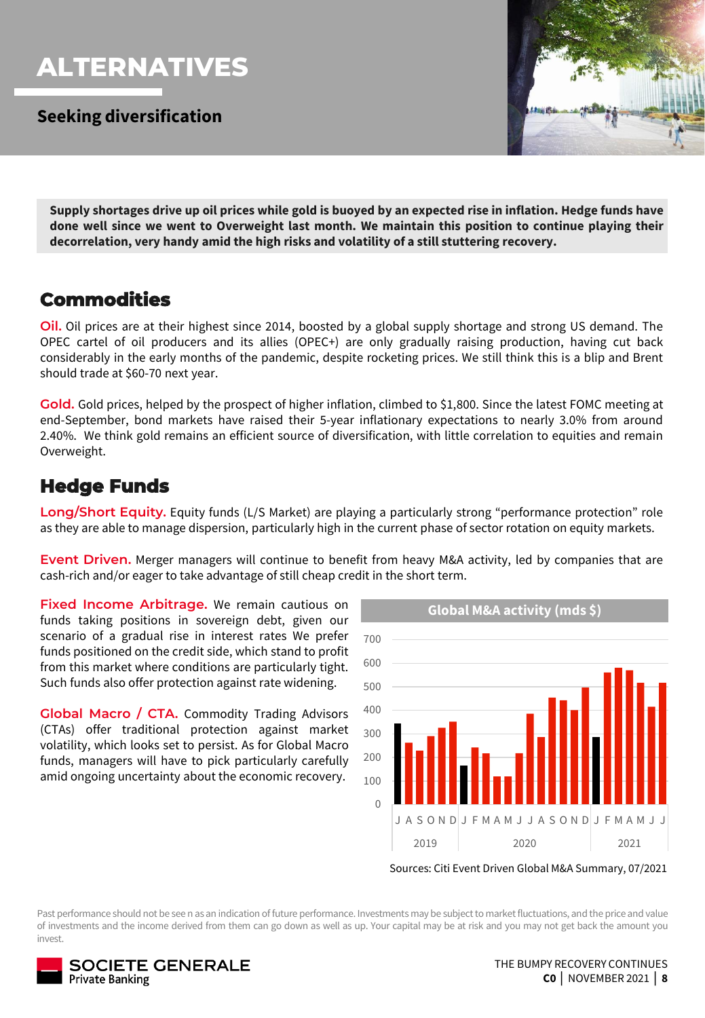### **ALTERNATIVES**

**Seeking diversification**



Supply shortages drive up oil prices while gold is buoyed by an expected rise in inflation. Hedge funds have **done well since we went to Overweight last month. We maintain this position to continue playing their decorrelation, very handy amid the high risks and volatility of a still stuttering recovery.**

### **Commodities**

**Oil.** Oil prices are at their highest since 2014, boosted by a global supply shortage and strong US demand. The OPEC cartel of oil producers and its allies (OPEC+) are only gradually raising production, having cut back considerably in the early months of the pandemic, despite rocketing prices. We still think this is a blip and Brent should trade at \$60-70 next year.

**Gold.** Gold prices, helped by the prospect of higher inflation, climbed to \$1,800. Since the latest FOMC meeting at end-September, bond markets have raised their 5-year inflationary expectations to nearly 3.0% from around 2.40%. We think gold remains an efficient source of diversification, with little correlation to equities and remain Overweight.

### **Hedge Funds**

**Long/Short Equity.** Equity funds (L/S Market) are playing a particularly strong "performance protection" role as they are able to manage dispersion, particularly high in the current phase of sector rotation on equity markets.

**Event Driven.** Merger managers will continue to benefit from heavy M&A activity, led by companies that are cash-rich and/or eager to take advantage of still cheap credit in the short term.

**Fixed Income Arbitrage.** We remain cautious on **Fixed Income Arbitrage.** We remain cautious on **Fixed** Global M&A activity (mds \$) funds taking positions in sovereign debt, given our scenario of a gradual rise in interest rates We prefer funds positioned on the credit side, which stand to profit from this market where conditions are particularly tight. Such funds also offer protection against rate widening.

**Global Macro / CTA.** Commodity Trading Advisors (CTAs) offer traditional protection against market volatility, which looks set to persist. As for Global Macro funds, managers will have to pick particularly carefully amid ongoing uncertainty about the economic recovery.



Sources: Citi Event Driven Global M&A Summary, 07/2021

Past performance should not be see n as an indication of future performance. Investments may be subject to market fluctuations, and the price and value of investments and the income derived from them can go down as well as up. Your capital may be at risk and you may not get back the amount you invest.

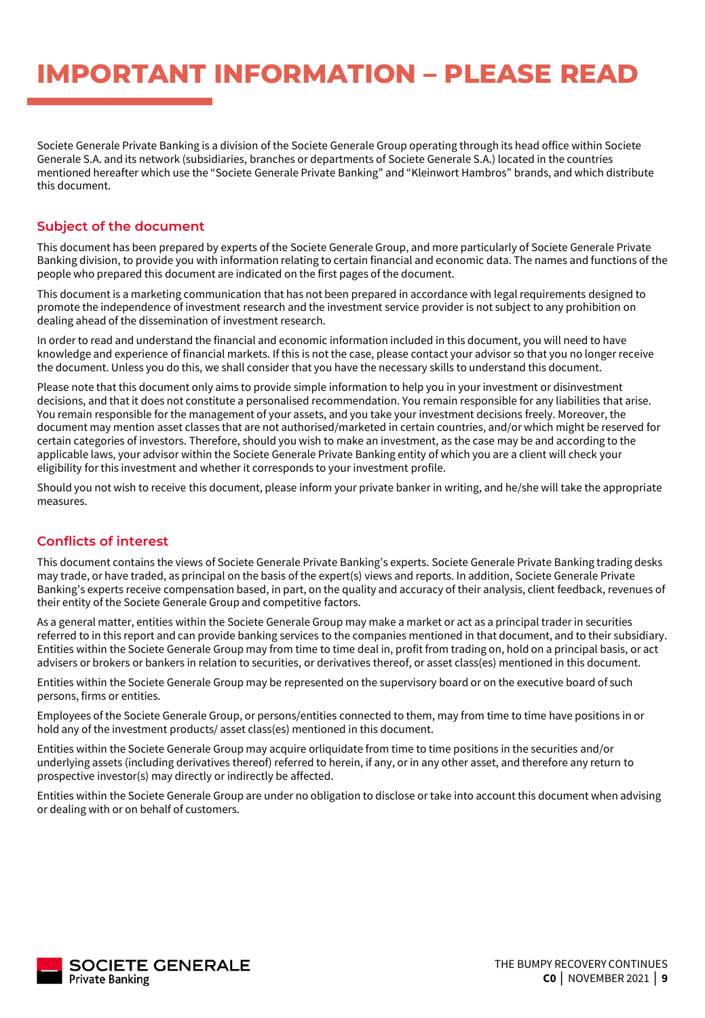Societe Generale Private Banking is a division of the Societe Generale Group operating through its head office within Societe Generale S.A. and its network (subsidiaries, branches or departments of Societe Generale S.A.) located in the countries mentioned hereafter which use the "Societe Generale Private Banking" and "Kleinwort Hambros" brands, and which distribute this document.

#### **Subject of the document**

This document has been prepared by experts of the Societe Generale Group, and more particularly of Societe Generale Private Banking division, to provide you with information relating to certain financial and economic data. The names and functions of the people who prepared this document are indicated on the first pages of the document.

This document is a marketing communication that has not been prepared in accordance with legal requirements designed to promote the independence of investment research and the investment service provider is not subject to any prohibition on dealing ahead of the dissemination of investment research.

In order to read and understand the financial and economic information included in this document, you will need to have knowledge and experience of financial markets. If this is not the case, please contact your advisor so that you no longer receive the document. Unless you do this, we shall consider that you have the necessary skills to understand this document.

Please note that this document only aims to provide simple information to help you in your investment or disinvestment decisions, and that it does not constitute a personalised recommendation. You remain responsible for any liabilities that arise. You remain responsible for the management of your assets, and you take your investment decisions freely. Moreover, the document may mention asset classes that are not authorised/marketed in certain countries, and/or which might be reserved for certain categories of investors. Therefore, should you wish to make an investment, as the case may be and according to the applicable laws, your advisor within the Societe Generale Private Banking entity of which you are a client will check your eligibility for this investment and whether it corresponds to your investment profile.

Should you not wish to receive this document, please inform your private banker in writing, and he/she will take the appropriate measures.

### **Conflicts of interest**

This document contains the views of Societe Generale Private Banking's experts. Societe Generale Private Banking trading desks may trade, or have traded, as principal on the basis of the expert(s) views and reports. In addition, Societe Generale Private Banking's experts receive compensation based, in part, on the quality and accuracy of their analysis, client feedback, revenues of their entity of the Societe Generale Group and competitive factors.

As a general matter, entities within the Societe Generale Group may make a market or act as a principal trader in securities referred to in this report and can provide banking services to the companies mentioned in that document, and to their subsidiary. Entities within the Societe Generale Group may from time to time deal in, profit from trading on, hold on a principal basis, or act advisers or brokers or bankers in relation to securities, or derivatives thereof, or asset class(es) mentioned in this document.

Entities within the Societe Generale Group may be represented on the supervisory board or on the executive board of such persons, firms or entities.

Employees of the Societe Generale Group, or persons/entities connected to them, may from time to time have positions in or hold any of the investment products/ asset class(es) mentioned in this document.

Entities within the Societe Generale Group may acquire orliquidate from time to time positions in the securities and/or underlying assets (including derivatives thereof) referred to herein, if any, or in any other asset, and therefore any return to prospective investor(s) may directly or indirectly be affected.

Entities within the Societe Generale Group are under no obligation to disclose or take into account this document when advising or dealing with or on behalf of customers.

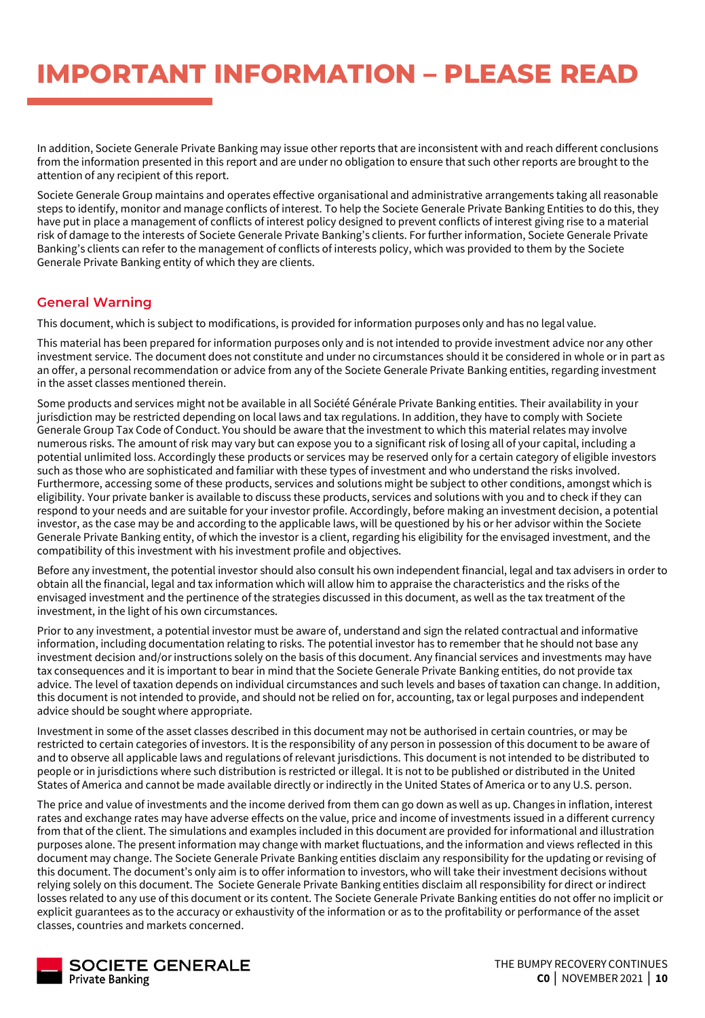In addition, Societe Generale Private Banking may issue other reports that are inconsistent with and reach different conclusions from the information presented in this report and are under no obligation to ensure that such other reports are brought to the attention of any recipient of this report.

Societe Generale Group maintains and operates effective organisational and administrative arrangements taking all reasonable steps to identify, monitor and manage conflicts of interest. To help the Societe Generale Private Banking Entities to do this, they have put in place a management of conflicts of interest policy designed to prevent conflicts of interest giving rise to a material risk of damage to the interests of Societe Generale Private Banking's clients. For further information, Societe Generale Private Banking's clients can refer to the management of conflicts of interests policy, which was provided to them by the Societe Generale Private Banking entity of which they are clients.

### **General Warning**

This document, which is subject to modifications, is provided for information purposes only and has no legal value.

This material has been prepared for information purposes only and is not intended to provide investment advice nor any other investment service. The document does not constitute and under no circumstances should it be considered in whole or in part as an offer, a personal recommendation or advice from any of the Societe Generale Private Banking entities, regarding investment in the asset classes mentioned therein.

Some products and services might not be available in all Société Générale Private Banking entities. Their availability in your jurisdiction may be restricted depending on local laws and tax regulations. In addition, they have to comply with Societe Generale Group Tax Code of Conduct. You should be aware that the investment to which this material relates may involve numerous risks. The amount of risk may vary but can expose you to a significant risk of losing all of your capital, including a potential unlimited loss. Accordingly these products or services may be reserved only for a certain category of eligible investors such as those who are sophisticated and familiar with these types of investment and who understand the risks involved. Furthermore, accessing some of these products, services and solutions might be subject to other conditions, amongst which is eligibility. Your private banker is available to discuss these products, services and solutions with you and to check if they can respond to your needs and are suitable for your investor profile. Accordingly, before making an investment decision, a potential investor, as the case may be and according to the applicable laws, will be questioned by his or her advisor within the Societe Generale Private Banking entity, of which the investor is a client, regarding his eligibility for the envisaged investment, and the compatibility of this investment with his investment profile and objectives.

Before any investment, the potential investor should also consult his own independent financial, legal and tax advisers in order to obtain all the financial, legal and tax information which will allow him to appraise the characteristics and the risks of the envisaged investment and the pertinence of the strategies discussed in this document, as well as the tax treatment of the investment, in the light of his own circumstances.

Prior to any investment, a potential investor must be aware of, understand and sign the related contractual and informative information, including documentation relating to risks. The potential investor has to remember that he should not base any investment decision and/or instructions solely on the basis of this document. Any financial services and investments may have tax consequences and it is important to bear in mind that the Societe Generale Private Banking entities, do not provide tax advice. The level of taxation depends on individual circumstances and such levels and bases of taxation can change. In addition, this document is not intended to provide, and should not be relied on for, accounting, tax or legal purposes and independent advice should be sought where appropriate.

Investment in some of the asset classes described in this document may not be authorised in certain countries, or may be restricted to certain categories of investors. It is the responsibility of any person in possession of this document to be aware of and to observe all applicable laws and regulations of relevant jurisdictions. This document is not intended to be distributed to people or in jurisdictions where such distribution is restricted or illegal. It is not to be published or distributed in the United States of America and cannot be made available directly or indirectly in the United States of America or to any U.S. person.

The price and value of investments and the income derived from them can go down as well as up. Changes in inflation, interest rates and exchange rates may have adverse effects on the value, price and income of investments issued in a different currency from that of the client. The simulations and examples included in this document are provided for informational and illustration purposes alone. The present information may change with market fluctuations, and the information and views reflected in this document may change. The Societe Generale Private Banking entities disclaim any responsibility for the updating or revising of this document. The document's only aim is to offer information to investors, who will take their investment decisions without relying solely on this document. The Societe Generale Private Banking entities disclaim all responsibility for direct or indirect losses related to any use of this document or its content. The Societe Generale Private Banking entities do not offer no implicit or explicit guarantees as to the accuracy or exhaustivity of the information or as to the profitability or performance of the asset classes, countries and markets concerned.

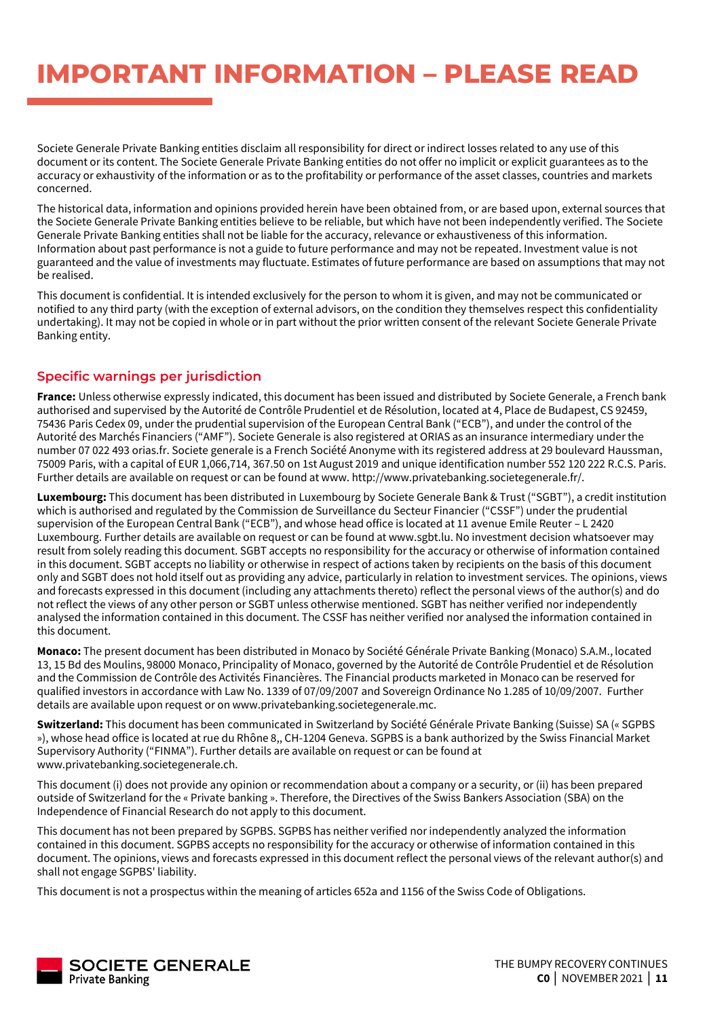Societe Generale Private Banking entities disclaim all responsibility for direct or indirect losses related to any use of this document or its content. The Societe Generale Private Banking entities do not offer no implicit or explicit guarantees as to the accuracy or exhaustivity of the information or as to the profitability or performance of the asset classes, countries and markets concerned.

The historical data, information and opinions provided herein have been obtained from, or are based upon, external sources that the Societe Generale Private Banking entities believe to be reliable, but which have not been independently verified. The Societe Generale Private Banking entities shall not be liable for the accuracy, relevance or exhaustiveness of this information. Information about past performance is not a guide to future performance and may not be repeated. Investment value is not guaranteed and the value of investments may fluctuate. Estimates of future performance are based on assumptions that may not be realised.

This document is confidential. It is intended exclusively for the person to whom it is given, and may not be communicated or notified to any third party (with the exception of external advisors, on the condition they themselves respect this confidentiality undertaking). It may not be copied in whole or in part without the prior written consent of the relevant Societe Generale Private Banking entity.

### **Specific warnings per jurisdiction**

**France:** Unless otherwise expressly indicated, this document has been issued and distributed by Societe Generale, a French bank authorised and supervised by the Autorité de Contrôle Prudentiel et de Résolution, located at 4, Place de Budapest, CS 92459, 75436 Paris Cedex 09, under the prudential supervision of the European Central Bank ("ECB"), and under the control of the Autorité des Marchés Financiers ("AMF"). Societe Generale is also registered at ORIAS as an insurance intermediary under the number 07 022 493 orias.fr. Societe generale is a French Société Anonyme with its registered address at 29 boulevard Haussman, 75009 Paris, with a capital of EUR 1,066,714, 367.50 on 1st August 2019 and unique identification number 552 120 222 R.C.S. Paris. Further details are available on request or can be found at www. http://www.privatebanking.societegenerale.fr/.

**Luxembourg:** This document has been distributed in Luxembourg by Societe Generale Bank & Trust ("SGBT"), a credit institution which is authorised and regulated by the Commission de Surveillance du Secteur Financier ("CSSF") under the prudential supervision of the European Central Bank ("ECB"), and whose head office is located at 11 avenue Emile Reuter – L 2420 Luxembourg. Further details are available on request or can be found at www.sgbt.lu. No investment decision whatsoever may result from solely reading this document. SGBT accepts no responsibility for the accuracy or otherwise of information contained in this document. SGBT accepts no liability or otherwise in respect of actions taken by recipients on the basis of this document only and SGBT does not hold itself out as providing any advice, particularly in relation to investment services. The opinions, views and forecasts expressed in this document (including any attachments thereto) reflect the personal views of the author(s) and do not reflect the views of any other person or SGBT unless otherwise mentioned. SGBT has neither verified nor independently analysed the information contained in this document. The CSSF has neither verified nor analysed the information contained in this document.

**Monaco:** The present document has been distributed in Monaco by Société Générale Private Banking (Monaco) S.A.M., located 13, 15 Bd des Moulins, 98000 Monaco, Principality of Monaco, governed by the Autorité de Contrôle Prudentiel et de Résolution and the Commission de Contrôle des Activités Financières. The Financial products marketed in Monaco can be reserved for qualified investors in accordance with Law No. 1339 of 07/09/2007 and Sovereign Ordinance No 1.285 of 10/09/2007. Further details are available upon request or on www.privatebanking.societegenerale.mc.

**Switzerland:** This document has been communicated in Switzerland by Société Générale Private Banking (Suisse) SA (« SGPBS »), whose head office is located at rue du Rhône 8,, CH-1204 Geneva. SGPBS is a bank authorized by the Swiss Financial Market Supervisory Authority ("FINMA"). Further details are available on request or can be found at www.privatebanking.societegenerale.ch.

This document (i) does not provide any opinion or recommendation about a company or a security, or (ii) has been prepared outside of Switzerland for the « Private banking ». Therefore, the Directives of the Swiss Bankers Association (SBA) on the Independence of Financial Research do not apply to this document.

This document has not been prepared by SGPBS. SGPBS has neither verified nor independently analyzed the information contained in this document. SGPBS accepts no responsibility for the accuracy or otherwise of information contained in this document. The opinions, views and forecasts expressed in this document reflect the personal views of the relevant author(s) and shall not engage SGPBS' liability.

This document is not a prospectus within the meaning of articles 652a and 1156 of the Swiss Code of Obligations.